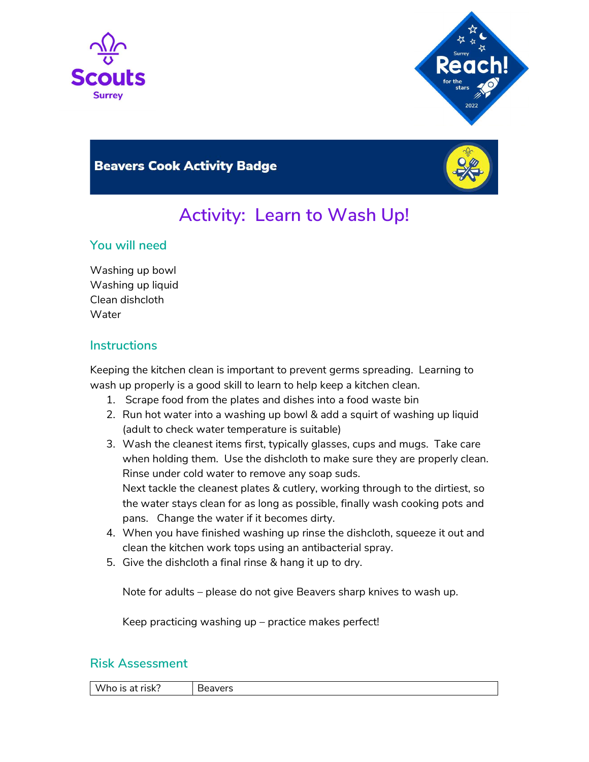



# **Beavers Cook Activity Badge**



# Activity: Learn to Wash Up!

### You will need

Washing up bowl Washing up liquid Clean dishcloth Water

# **Instructions**

Keeping the kitchen clean is important to prevent germs spreading. Learning to wash up properly is a good skill to learn to help keep a kitchen clean.

- 1. Scrape food from the plates and dishes into a food waste bin
- 2. Run hot water into a washing up bowl & add a squirt of washing up liquid (adult to check water temperature is suitable)
- 3. Wash the cleanest items first, typically glasses, cups and mugs. Take care when holding them. Use the dishcloth to make sure they are properly clean. Rinse under cold water to remove any soap suds. Next tackle the cleanest plates & cutlery, working through to the dirtiest, so the water stays clean for as long as possible, finally wash cooking pots and pans. Change the water if it becomes dirty.
- 4. When you have finished washing up rinse the dishcloth, squeeze it out and clean the kitchen work tops using an antibacterial spray.
- 5. Give the dishcloth a final rinse & hang it up to dry.

Note for adults – please do not give Beavers sharp knives to wash up.

Keep practicing washing up – practice makes perfect!

#### Risk Assessment

Who is at risk? | Beavers